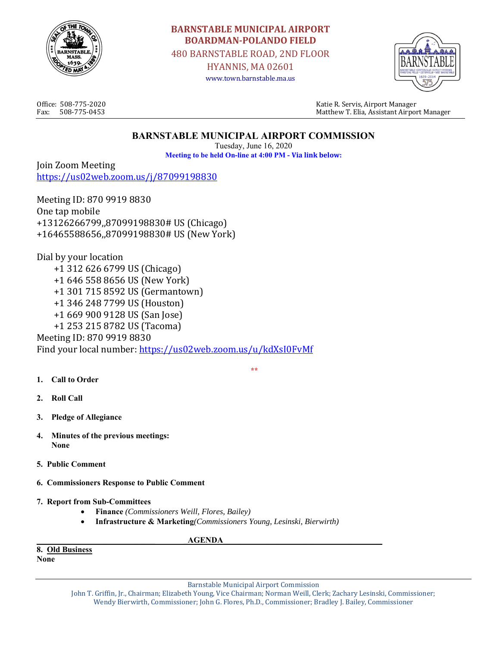

# **BARNSTABLE MUNICIPAL AIRPORT BOARDMAN‐POLANDO FIELD**

480 BARNSTABLE ROAD, 2ND FLOOR

HYANNIS, MA 02601 www.town.barnstable.ma.us



Office: 508-775-2020 Katie R. Servis, Airport Manager Fax: 508-775-0453 Matthew T. Elia, Assistant Airport Manager

# **BARNSTABLE MUNICIPAL AIRPORT COMMISSION**

Tuesday, June 16, 2020 **Meeting to be held On-line at 4:00 PM - Via link below:**

 **\*\*** 

Join Zoom Meeting https://us02web.zoom.us/j/87099198830

Meeting ID: 870 9919 8830 One tap mobile +13126266799,,87099198830# US (Chicago) +16465588656,,87099198830# US (New York)

Dial by your location +1 312 626 6799 US (Chicago) +1 646 558 8656 US (New York) +1 301 715 8592 US (Germantown) +1 346 248 7799 US (Houston) +1 669 900 9128 US (San Jose) +1 253 215 8782 US (Tacoma) Meeting ID: 870 9919 8830 Find your local number: https://us02web.zoom.us/u/kdXsI0FvMf

- **1. Call to Order**
- **2. Roll Call**
- **3. Pledge of Allegiance**
- **4. Minutes of the previous meetings: None**
- **5. Public Comment**
- **6. Commissioners Response to Public Comment**
- **7. Report from Sub-Committees** 
	- **Finance** *(Commissioners Weill, Flores, Bailey)*
	- **Infrastructure & Marketing***(Commissioners Young, Lesinski, Bierwirth)*

**AGENDA** 

**8. Old Business** 

**None** 

Barnstable Municipal Airport Commission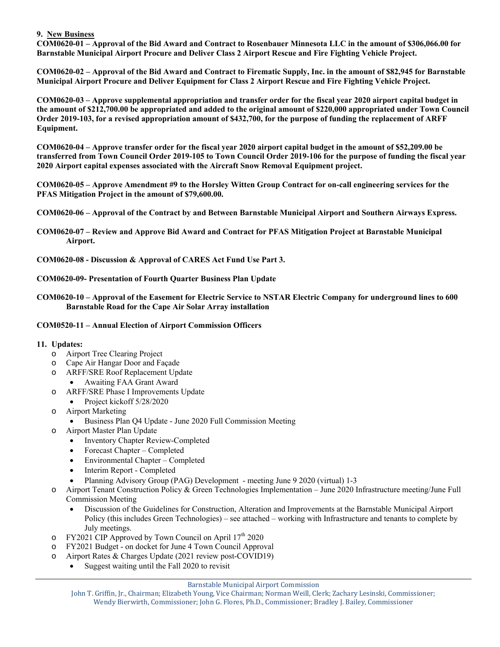#### **9. New Business**

**COM0620-01 – Approval of the Bid Award and Contract to Rosenbauer Minnesota LLC in the amount of \$306,066.00 for Barnstable Municipal Airport Procure and Deliver Class 2 Airport Rescue and Fire Fighting Vehicle Project.** 

**COM0620-02 – Approval of the Bid Award and Contract to Firematic Supply, Inc. in the amount of \$82,945 for Barnstable Municipal Airport Procure and Deliver Equipment for Class 2 Airport Rescue and Fire Fighting Vehicle Project.** 

**COM0620-03 – Approve supplemental appropriation and transfer order for the fiscal year 2020 airport capital budget in the amount of \$212,700.00 be appropriated and added to the original amount of \$220,000 appropriated under Town Council Order 2019-103, for a revised appropriation amount of \$432,700, for the purpose of funding the replacement of ARFF Equipment.** 

**COM0620-04 – Approve transfer order for the fiscal year 2020 airport capital budget in the amount of \$52,209.00 be transferred from Town Council Order 2019-105 to Town Council Order 2019-106 for the purpose of funding the fiscal year 2020 Airport capital expenses associated with the Aircraft Snow Removal Equipment project.** 

**COM0620-05 – Approve Amendment #9 to the Horsley Witten Group Contract for on-call engineering services for the PFAS Mitigation Project in the amount of \$79,600.00.** 

**COM0620-06 – Approval of the Contract by and Between Barnstable Municipal Airport and Southern Airways Express.** 

- **COM0620-07 Review and Approve Bid Award and Contract for PFAS Mitigation Project at Barnstable Municipal Airport.**
- **COM0620-08 Discussion & Approval of CARES Act Fund Use Part 3.**

#### **COM0620-09- Presentation of Fourth Quarter Business Plan Update**

**COM0620-10 – Approval of the Easement for Electric Service to NSTAR Electric Company for underground lines to 600 Barnstable Road for the Cape Air Solar Array installation** 

#### **COM0520-11 – Annual Election of Airport Commission Officers**

#### **11. Updates:**

- o Airport Tree Clearing Project
- o Cape Air Hangar Door and Façade
- o ARFF/SRE Roof Replacement Update
	- Awaiting FAA Grant Award
- o ARFF/SRE Phase I Improvements Update
	- Project kickoff  $5/28/2020$
- o Airport Marketing
	- Business Plan Q4 Update June 2020 Full Commission Meeting
- o Airport Master Plan Update
	- Inventory Chapter Review-Completed
	- Forecast Chapter Completed
	- Environmental Chapter Completed
	- Interim Report Completed
	- Planning Advisory Group (PAG) Development meeting June 9 2020 (virtual) 1-3
- o Airport Tenant Construction Policy & Green Technologies Implementation June 2020 Infrastructure meeting/June Full Commission Meeting
	- Discussion of the Guidelines for Construction, Alteration and Improvements at the Barnstable Municipal Airport Policy (this includes Green Technologies) – see attached – working with Infrastructure and tenants to complete by July meetings.
- o FY2021 CIP Approved by Town Council on April  $17<sup>th</sup>$  2020
- o FY2021 Budget on docket for June 4 Town Council Approval
- o Airport Rates & Charges Update (2021 review post-COVID19)
	- Suggest waiting until the Fall 2020 to revisit

#### Barnstable Municipal Airport Commission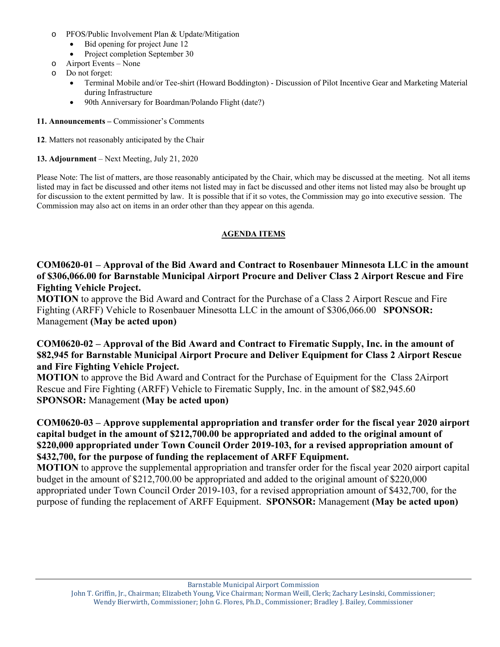- o PFOS/Public Involvement Plan & Update/Mitigation
	- Bid opening for project June 12
	- Project completion September 30
- o Airport Events None
- o Do not forget:
	- Terminal Mobile and/or Tee-shirt (Howard Boddington) Discussion of Pilot Incentive Gear and Marketing Material during Infrastructure
	- 90th Anniversary for Boardman/Polando Flight (date?)
- **11. Announcements** Commissioner's Comments
- **12**. Matters not reasonably anticipated by the Chair
- **13. Adjournment** Next Meeting, July 21, 2020

Please Note: The list of matters, are those reasonably anticipated by the Chair, which may be discussed at the meeting. Not all items listed may in fact be discussed and other items not listed may in fact be discussed and other items not listed may also be brought up for discussion to the extent permitted by law. It is possible that if it so votes, the Commission may go into executive session. The Commission may also act on items in an order other than they appear on this agenda.

### **AGENDA ITEMS**

**COM0620-01 – Approval of the Bid Award and Contract to Rosenbauer Minnesota LLC in the amount of \$306,066.00 for Barnstable Municipal Airport Procure and Deliver Class 2 Airport Rescue and Fire Fighting Vehicle Project.** 

**MOTION** to approve the Bid Award and Contract for the Purchase of a Class 2 Airport Rescue and Fire Fighting (ARFF) Vehicle to Rosenbauer Minesotta LLC in the amount of \$306,066.00 **SPONSOR:** Management **(May be acted upon)** 

### **COM0620-02 – Approval of the Bid Award and Contract to Firematic Supply, Inc. in the amount of \$82,945 for Barnstable Municipal Airport Procure and Deliver Equipment for Class 2 Airport Rescue and Fire Fighting Vehicle Project.**

**MOTION** to approve the Bid Award and Contract for the Purchase of Equipment for the Class 2Airport Rescue and Fire Fighting (ARFF) Vehicle to Firematic Supply, Inc. in the amount of \$82,945.60 **SPONSOR:** Management **(May be acted upon)** 

### **COM0620-03 – Approve supplemental appropriation and transfer order for the fiscal year 2020 airport capital budget in the amount of \$212,700.00 be appropriated and added to the original amount of \$220,000 appropriated under Town Council Order 2019-103, for a revised appropriation amount of \$432,700, for the purpose of funding the replacement of ARFF Equipment.**

**MOTION** to approve the supplemental appropriation and transfer order for the fiscal year 2020 airport capital budget in the amount of \$212,700.00 be appropriated and added to the original amount of \$220,000 appropriated under Town Council Order 2019-103, for a revised appropriation amount of \$432,700, for the purpose of funding the replacement of ARFF Equipment. **SPONSOR:** Management **(May be acted upon)** 

Barnstable Municipal Airport Commission